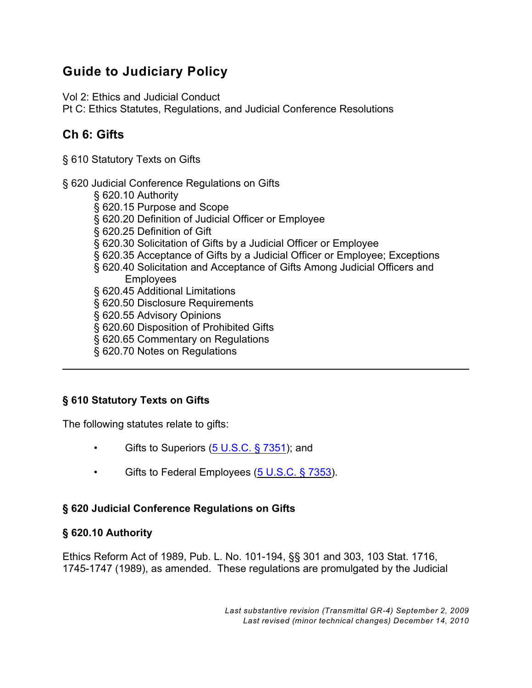# **Guide to Judiciary Policy**

Vol 2: Ethics and Judicial Conduct

Pt C: Ethics Statutes, Regulations, and Judicial Conference Resolutions

# **Ch 6: Gifts**

§ 610 Statutory Texts on Gifts

- § 620 Judicial Conference Regulations on Gifts
	- § 620.10 Authority § 620.15 Purpose and Scope § 620.20 Definition of Judicial Officer or Employee § 620.25 Definition of Gift § 620.30 Solicitation of Gifts by a Judicial Officer or Employee § 620.35 Acceptance of Gifts by a Judicial Officer or Employee; Exceptions § 620.40 Solicitation and Acceptance of Gifts Among Judicial Officers and **Employees** § 620.45 Additional Limitations § 620.50 Disclosure Requirements § 620.55 Advisory Opinions § 620.60 Disposition of Prohibited Gifts § 620.65 Commentary on Regulations
	- § 620.70 Notes on Regulations

# **§ 610 Statutory Texts on Gifts**

The following statutes relate to gifts:

- Gifts to Superiors [\(5 U.S.C. § 7351](http://www.law.cornell.edu/uscode/5/7351.html)); and
- Gifts to Federal Employees [\(5 U.S.C. § 7353](http://www.law.cornell.edu/uscode/5/7353.html)).

# **§ 620 Judicial Conference Regulations on Gifts**

# **§ 620.10 Authority**

Ethics Reform Act of 1989, Pub. L. No. 101-194, §§ 301 and 303, 103 Stat. 1716, 1745-1747 (1989), as amended. These regulations are promulgated by the Judicial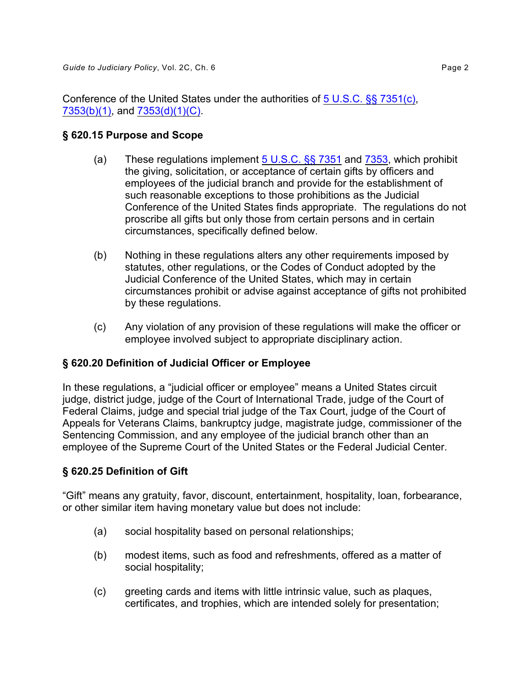Conference of the United States under the authorities of [5 U.S.C. §§ 7351\(c\)](http://www.law.cornell.edu/uscode/5/7351.html#c), [7353\(b\)\(1\)](http://www.law.cornell.edu/uscode/5/7353.html#b), and [7353\(d\)\(1\)\(C\)](http://www.law.cornell.edu/uscode/5/7353.html#d_1_C).

#### **§ 620.15 Purpose and Scope**

- (a) These regulations implement  $5 \text{ U.S.C.}$  §§ 7351 and [7353](http://www.law.cornell.edu/uscode/5/7353.html), which prohibit the giving, solicitation, or acceptance of certain gifts by officers and employees of the judicial branch and provide for the establishment of such reasonable exceptions to those prohibitions as the Judicial Conference of the United States finds appropriate. The regulations do not proscribe all gifts but only those from certain persons and in certain circumstances, specifically defined below.
- (b) Nothing in these regulations alters any other requirements imposed by statutes, other regulations, or the Codes of Conduct adopted by the Judicial Conference of the United States, which may in certain circumstances prohibit or advise against acceptance of gifts not prohibited by these regulations.
- (c) Any violation of any provision of these regulations will make the officer or employee involved subject to appropriate disciplinary action.

# **§ 620.20 Definition of Judicial Officer or Employee**

In these regulations, a "judicial officer or employee" means a United States circuit judge, district judge, judge of the Court of International Trade, judge of the Court of Federal Claims, judge and special trial judge of the Tax Court, judge of the Court of Appeals for Veterans Claims, bankruptcy judge, magistrate judge, commissioner of the Sentencing Commission, and any employee of the judicial branch other than an employee of the Supreme Court of the United States or the Federal Judicial Center.

# **§ 620.25 Definition of Gift**

"Gift" means any gratuity, favor, discount, entertainment, hospitality, loan, forbearance, or other similar item having monetary value but does not include:

- (a) social hospitality based on personal relationships;
- (b) modest items, such as food and refreshments, offered as a matter of social hospitality;
- (c) greeting cards and items with little intrinsic value, such as plaques, certificates, and trophies, which are intended solely for presentation;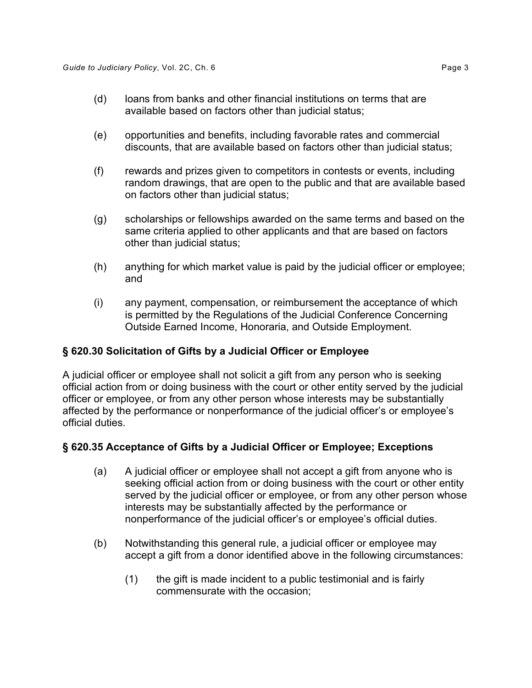- (d) loans from banks and other financial institutions on terms that are available based on factors other than judicial status;
- (e) opportunities and benefits, including favorable rates and commercial discounts, that are available based on factors other than judicial status;
- (f) rewards and prizes given to competitors in contests or events, including random drawings, that are open to the public and that are available based on factors other than judicial status;
- (g) scholarships or fellowships awarded on the same terms and based on the same criteria applied to other applicants and that are based on factors other than judicial status;
- (h) anything for which market value is paid by the judicial officer or employee; and
- (i) any payment, compensation, or reimbursement the acceptance of which is permitted by the Regulations of the Judicial Conference Concerning Outside Earned Income, Honoraria, and Outside Employment.

### **§ 620.30 Solicitation of Gifts by a Judicial Officer or Employee**

A judicial officer or employee shall not solicit a gift from any person who is seeking official action from or doing business with the court or other entity served by the judicial officer or employee, or from any other person whose interests may be substantially affected by the performance or nonperformance of the judicial officer's or employee's official duties.

### **§ 620.35 Acceptance of Gifts by a Judicial Officer or Employee; Exceptions**

- (a) A judicial officer or employee shall not accept a gift from anyone who is seeking official action from or doing business with the court or other entity served by the judicial officer or employee, or from any other person whose interests may be substantially affected by the performance or nonperformance of the judicial officer's or employee's official duties.
- (b) Notwithstanding this general rule, a judicial officer or employee may accept a gift from a donor identified above in the following circumstances:
	- $(1)$  the gift is made incident to a public testimonial and is fairly commensurate with the occasion;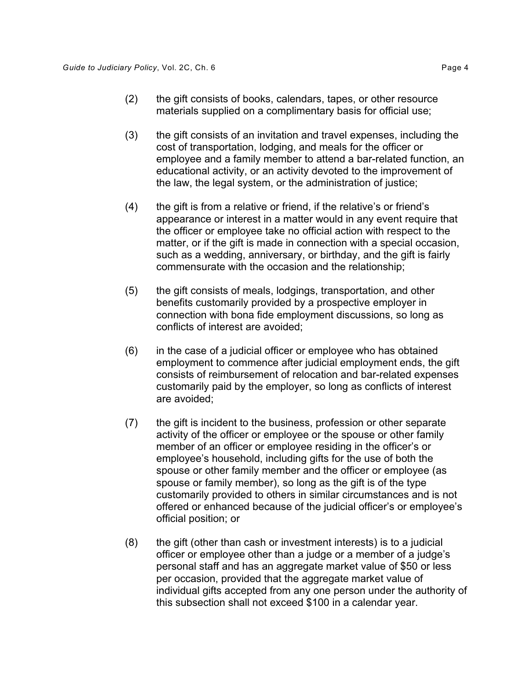- (2) the gift consists of books, calendars, tapes, or other resource materials supplied on a complimentary basis for official use;
- (3) the gift consists of an invitation and travel expenses, including the cost of transportation, lodging, and meals for the officer or employee and a family member to attend a bar-related function, an educational activity, or an activity devoted to the improvement of the law, the legal system, or the administration of justice;
- (4) the gift is from a relative or friend, if the relative's or friend's appearance or interest in a matter would in any event require that the officer or employee take no official action with respect to the matter, or if the gift is made in connection with a special occasion, such as a wedding, anniversary, or birthday, and the gift is fairly commensurate with the occasion and the relationship;
- (5) the gift consists of meals, lodgings, transportation, and other benefits customarily provided by a prospective employer in connection with bona fide employment discussions, so long as conflicts of interest are avoided;
- (6) in the case of a judicial officer or employee who has obtained employment to commence after judicial employment ends, the gift consists of reimbursement of relocation and bar-related expenses customarily paid by the employer, so long as conflicts of interest are avoided;
- (7) the gift is incident to the business, profession or other separate activity of the officer or employee or the spouse or other family member of an officer or employee residing in the officer's or employee's household, including gifts for the use of both the spouse or other family member and the officer or employee (as spouse or family member), so long as the gift is of the type customarily provided to others in similar circumstances and is not offered or enhanced because of the judicial officer's or employee's official position; or
- $(8)$  the gift (other than cash or investment interests) is to a judicial officer or employee other than a judge or a member of a judge's personal staff and has an aggregate market value of \$50 or less per occasion, provided that the aggregate market value of individual gifts accepted from any one person under the authority of this subsection shall not exceed \$100 in a calendar year.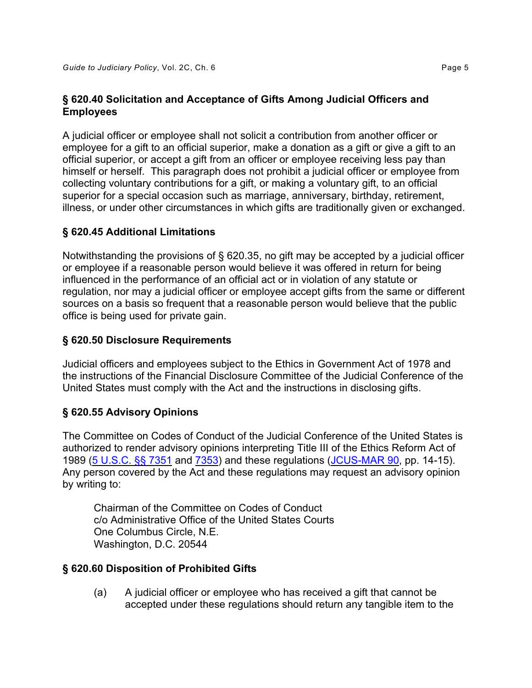# **§ 620.40 Solicitation and Acceptance of Gifts Among Judicial Officers and Employees**

A judicial officer or employee shall not solicit a contribution from another officer or employee for a gift to an official superior, make a donation as a gift or give a gift to an official superior, or accept a gift from an officer or employee receiving less pay than himself or herself. This paragraph does not prohibit a judicial officer or employee from collecting voluntary contributions for a gift, or making a voluntary gift, to an official superior for a special occasion such as marriage, anniversary, birthday, retirement, illness, or under other circumstances in which gifts are traditionally given or exchanged.

# **§ 620.45 Additional Limitations**

Notwithstanding the provisions of § 620.35, no gift may be accepted by a judicial officer or employee if a reasonable person would believe it was offered in return for being influenced in the performance of an official act or in violation of any statute or regulation, nor may a judicial officer or employee accept gifts from the same or different sources on a basis so frequent that a reasonable person would believe that the public office is being used for private gain.

### **§ 620.50 Disclosure Requirements**

Judicial officers and employees subject to the Ethics in Government Act of 1978 and the instructions of the Financial Disclosure Committee of the Judicial Conference of the United States must comply with the Act and the instructions in disclosing gifts.

### **§ 620.55 Advisory Opinions**

The Committee on Codes of Conduct of the Judicial Conference of the United States is authorized to render advisory opinions interpreting Title III of the Ethics Reform Act of 1989 [\(5 U.S.C. §§ 7351](http://www.law.cornell.edu/uscode/5/7351.html) and [7353](http://www.law.cornell.edu/uscode/5/7353.html)) and these regulations [\(JCUS-MAR 90](http://www.uscourts.gov/FederalCourts/JudicialConference/Proceedings/Proceedings.aspx?doc=/uscourts/FederalCourts/judconf/proceedings/1990-03.pdf), pp. 14-15). Any person covered by the Act and these regulations may request an advisory opinion by writing to:

Chairman of the Committee on Codes of Conduct c/o Administrative Office of the United States Courts One Columbus Circle, N.E. Washington, D.C. 20544

### **§ 620.60 Disposition of Prohibited Gifts**

(a) A judicial officer or employee who has received a gift that cannot be accepted under these regulations should return any tangible item to the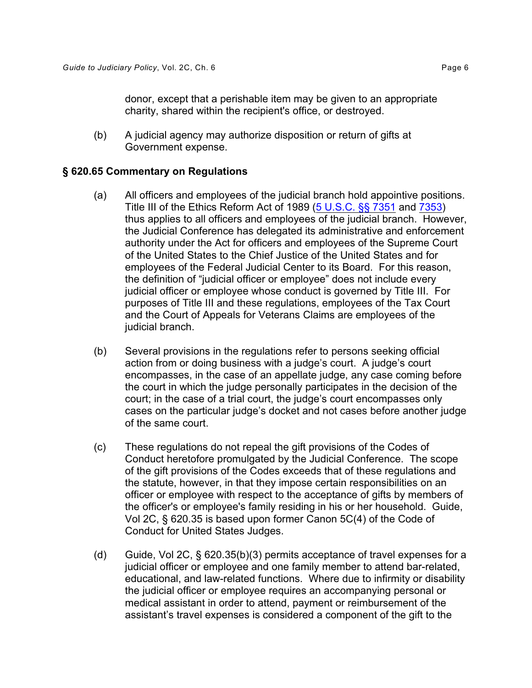donor, except that a perishable item may be given to an appropriate charity, shared within the recipient's office, or destroyed.

(b) A judicial agency may authorize disposition or return of gifts at Government expense.

#### **§ 620.65 Commentary on Regulations**

- (a) All officers and employees of the judicial branch hold appointive positions. Title III of the Ethics Reform Act of 1989 [\(5 U.S.C. §§ 7351](http://www.law.cornell.edu/uscode/5/7351.html) and [7353](http://www.law.cornell.edu/uscode/5/7353.html)) thus applies to all officers and employees of the judicial branch. However, the Judicial Conference has delegated its administrative and enforcement authority under the Act for officers and employees of the Supreme Court of the United States to the Chief Justice of the United States and for employees of the Federal Judicial Center to its Board. For this reason, the definition of "judicial officer or employee" does not include every judicial officer or employee whose conduct is governed by Title III. For purposes of Title III and these regulations, employees of the Tax Court and the Court of Appeals for Veterans Claims are employees of the judicial branch.
- (b) Several provisions in the regulations refer to persons seeking official action from or doing business with a judge's court. A judge's court encompasses, in the case of an appellate judge, any case coming before the court in which the judge personally participates in the decision of the court; in the case of a trial court, the judge's court encompasses only cases on the particular judge's docket and not cases before another judge of the same court.
- (c) These regulations do not repeal the gift provisions of the Codes of Conduct heretofore promulgated by the Judicial Conference. The scope of the gift provisions of the Codes exceeds that of these regulations and the statute, however, in that they impose certain responsibilities on an officer or employee with respect to the acceptance of gifts by members of the officer's or employee's family residing in his or her household. Guide, Vol 2C, § 620.35 is based upon former Canon 5C(4) of the Code of Conduct for United States Judges.
- (d) Guide, Vol 2C,  $\S$  620.35(b)(3) permits acceptance of travel expenses for a judicial officer or employee and one family member to attend bar-related, educational, and law-related functions. Where due to infirmity or disability the judicial officer or employee requires an accompanying personal or medical assistant in order to attend, payment or reimbursement of the assistant's travel expenses is considered a component of the gift to the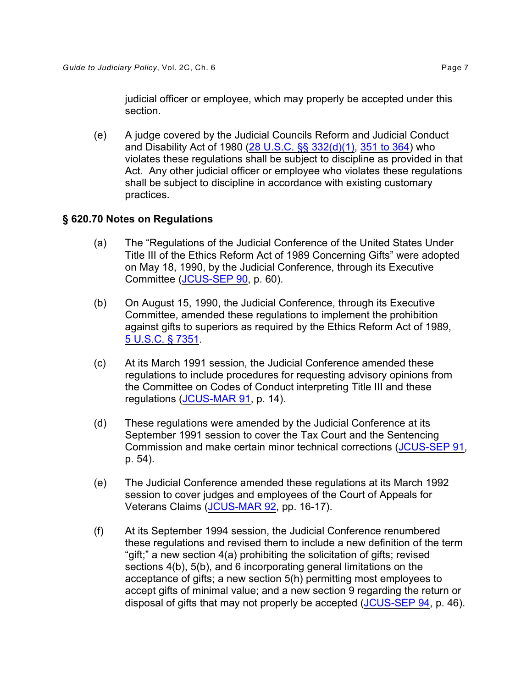judicial officer or employee, which may properly be accepted under this section.

(e) A judge covered by the Judicial Councils Reform and Judicial Conduct and Disability Act of 1980 [\(28 U.S.C. §§ 332\(d\)\(1\)](http://www.law.cornell.edu/uscode/28/332.html), [351 to 364](http://www.law.cornell.edu/uscode/28/usc_sup_01_28_10_I_20_16.html)) who violates these regulations shall be subject to discipline as provided in that Act. Any other judicial officer or employee who violates these regulations shall be subject to discipline in accordance with existing customary practices.

#### **§ 620.70 Notes on Regulations**

- (a) The "Regulations of the Judicial Conference of the United States Under Title III of the Ethics Reform Act of 1989 Concerning Gifts" were adopted on May 18, 1990, by the Judicial Conference, through its Executive Committee [\(JCUS-SEP 90](http://www.uscourts.gov/FederalCourts/JudicialConference/Proceedings/Proceedings.aspx?doc=/uscourts/FederalCourts/judconf/proceedings/1990-09.pdf), p. 60).
- (b) On August 15, 1990, the Judicial Conference, through its Executive Committee, amended these regulations to implement the prohibition against gifts to superiors as required by the Ethics Reform Act of 1989, [5 U.S.C. § 7351](http://www.law.cornell.edu/uscode/5/7351.html).
- (c) At its March 1991 session, the Judicial Conference amended these regulations to include procedures for requesting advisory opinions from the Committee on Codes of Conduct interpreting Title III and these regulations ([JCUS-MAR 91](http://www.uscourts.gov/FederalCourts/JudicialConference/Proceedings/Proceedings.aspx?doc=/uscourts/FederalCourts/judconf/proceedings/1991-03.pdf), p. 14).
- (d) These regulations were amended by the Judicial Conference at its September 1991 session to cover the Tax Court and the Sentencing Commission and make certain minor technical corrections [\(JCUS-SEP 91](http://www.uscourts.gov/FederalCourts/JudicialConference/Proceedings/Proceedings.aspx?doc=/uscourts/FederalCourts/judconf/proceedings/1991-09.pdf), p. 54).
- (e) The Judicial Conference amended these regulations at its March 1992 session to cover judges and employees of the Court of Appeals for Veterans Claims [\(JCUS-MAR 92](http://www.uscourts.gov/FederalCourts/JudicialConference/Proceedings/Proceedings.aspx?doc=/uscourts/FederalCourts/judconf/proceedings/1992-03.pdf), pp. 16-17).
- (f) At its September 1994 session, the Judicial Conference renumbered these regulations and revised them to include a new definition of the term "gift;" a new section 4(a) prohibiting the solicitation of gifts; revised sections 4(b), 5(b), and 6 incorporating general limitations on the acceptance of gifts; a new section 5(h) permitting most employees to accept gifts of minimal value; and a new section 9 regarding the return or disposal of gifts that may not properly be accepted [\(JCUS-SEP 94](http://www.uscourts.gov/FederalCourts/JudicialConference/Proceedings/Proceedings.aspx?doc=/uscourts/FederalCourts/judconf/proceedings/1994-09.pdf), p. 46).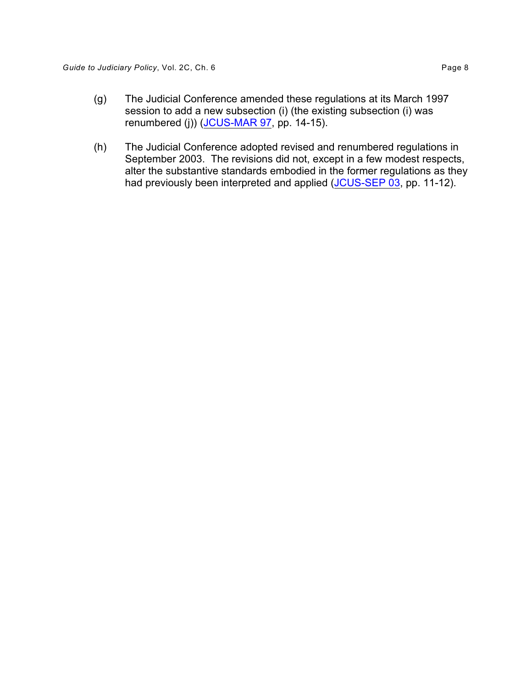- (g) The Judicial Conference amended these regulations at its March 1997 session to add a new subsection (i) (the existing subsection (i) was renumbered (j)) [\(JCUS-MAR 97](http://www.uscourts.gov/FederalCourts/JudicialConference/Proceedings/Proceedings.aspx?doc=/uscourts/FederalCourts/judconf/proceedings/1997-03.pdf), pp. 14-15).
- (h) The Judicial Conference adopted revised and renumbered regulations in September 2003. The revisions did not, except in a few modest respects, alter the substantive standards embodied in the former regulations as they had previously been interpreted and applied [\(JCUS-SEP 03](http://www.uscourts.gov/FederalCourts/JudicialConference/Proceedings/Proceedings.aspx?doc=/uscourts/FederalCourts/judconf/proceedings/2003-09.pdf), pp. 11-12).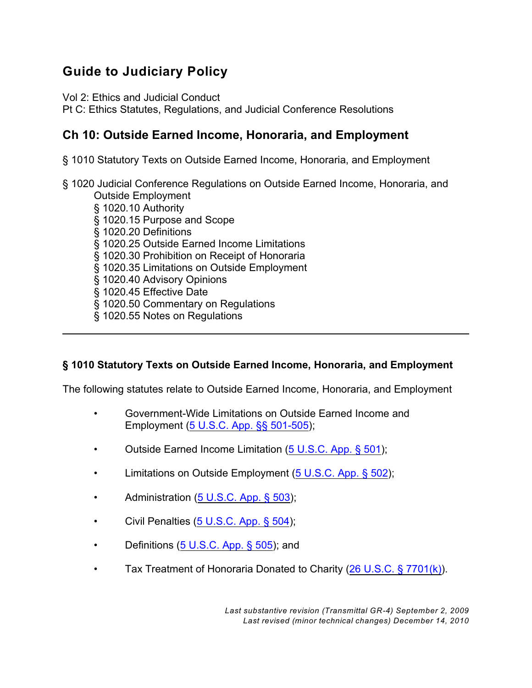# **Guide to Judiciary Policy**

Vol 2: Ethics and Judicial Conduct

Pt C: Ethics Statutes, Regulations, and Judicial Conference Resolutions

# **Ch 10: Outside Earned Income, Honoraria, and Employment**

§ 1010 Statutory Texts on Outside Earned Income, Honoraria, and Employment

- § 1020 Judicial Conference Regulations on Outside Earned Income, Honoraria, and Outside Employment
	- § 1020.10 Authority
	- § 1020.15 Purpose and Scope
	- § 1020.20 Definitions
	- § 1020.25 Outside Earned Income Limitations
	- § 1020.30 Prohibition on Receipt of Honoraria
	- § 1020.35 Limitations on Outside Employment
	- § 1020.40 Advisory Opinions
	- § 1020.45 Effective Date
	- § 1020.50 Commentary on Regulations
	- § 1020.55 Notes on Regulations

# **§ 1010 Statutory Texts on Outside Earned Income, Honoraria, and Employment**

The following statutes relate to Outside Earned Income, Honoraria, and Employment

- Government-Wide Limitations on Outside Earned Income and Employment ([5 U.S.C. App. §§ 501-505](http://www.law.cornell.edu/uscode/html/uscode05a/usc_sup_05_5_10_sq3_20_V.html) );
- Outside Earned Income Limitation [\(5 U.S.C. App. § 501](http://www.law.cornell.edu/uscode/html/uscode05a/usc_sec_05a_00000501----000-.html));
- Limitations on Outside Employment [\(5 U.S.C. App. § 502](http://www.law.cornell.edu/uscode/html/uscode05a/usc_sec_05a_00000502----000-.html));
- Administration [\(5 U.S.C. App. § 503](http://www.law.cornell.edu/uscode/html/uscode05a/usc_sec_05a_00000503----000-.html));
- Civil Penalties [\(5 U.S.C. App. § 504](http://www.law.cornell.edu/uscode/html/uscode05a/usc_sec_05a_00000504----000-.html));
- Definitions [\(5 U.S.C. App. § 505](http://www.law.cornell.edu/uscode/html/uscode05a/usc_sec_05a_00000505----000-.html)); and
- Tax Treatment of Honoraria Donated to Charity [\(26 U.S.C. § 7701\(k\)](http://www.law.cornell.edu/uscode/26/7701.html#k)).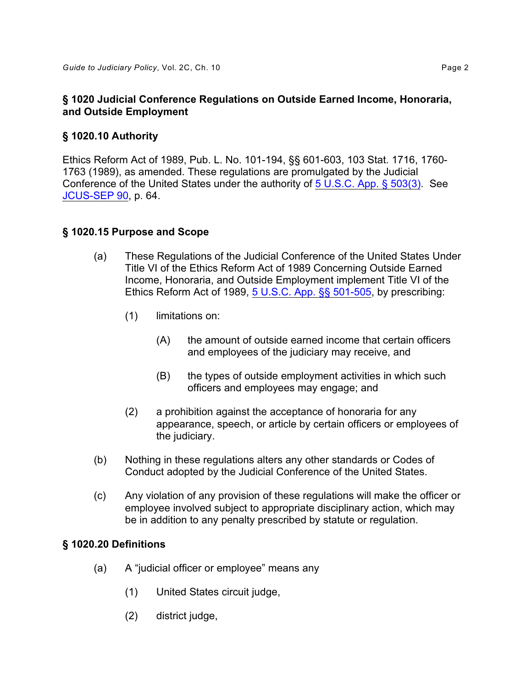### **§ 1020 Judicial Conference Regulations on Outside Earned Income, Honoraria, and Outside Employment**

### **§ 1020.10 Authority**

Ethics Reform Act of 1989, Pub. L. No. 101-194, §§ 601-603, 103 Stat. 1716, 1760 1763 (1989), as amended. These regulations are promulgated by the Judicial Conference of the United States under the authority of [5 U.S.C. App. § 503\(3\)](http://www.law.cornell.edu/uscode/html/uscode05a/usc_sec_05a_00000503----000-.html#3). See [JCUS-SEP 90](http://www.uscourts.gov/FederalCourts/JudicialConference/Proceedings/Proceedings.aspx?doc=/uscourts/FederalCourts/judconf/proceedings/1990-09.pdf), p. 64.

### **§ 1020.15 Purpose and Scope**

- (a) These Regulations of the Judicial Conference of the United States Under Title VI of the Ethics Reform Act of 1989 Concerning Outside Earned Income, Honoraria, and Outside Employment implement Title VI of the Ethics Reform Act of 1989, [5 U.S.C. App. §§ 501-505](http://www.law.cornell.edu/uscode/html/uscode05a/usc_sup_05_5_10_sq3_20_V.html), by prescribing:
	- (1) limitations on:
		- (A) the amount of outside earned income that certain officers and employees of the judiciary may receive, and
		- (B) the types of outside employment activities in which such officers and employees may engage; and
	- (2) a prohibition against the acceptance of honoraria for any appearance, speech, or article by certain officers or employees of the judiciary.
- (b) Nothing in these regulations alters any other standards or Codes of Conduct adopted by the Judicial Conference of the United States.
- (c) Any violation of any provision of these regulations will make the officer or employee involved subject to appropriate disciplinary action, which may be in addition to any penalty prescribed by statute or regulation.

### **§ 1020.20 Definitions**

- (a) A "judicial officer or employee" means any
	- (1) United States circuit judge,
	- (2) district judge,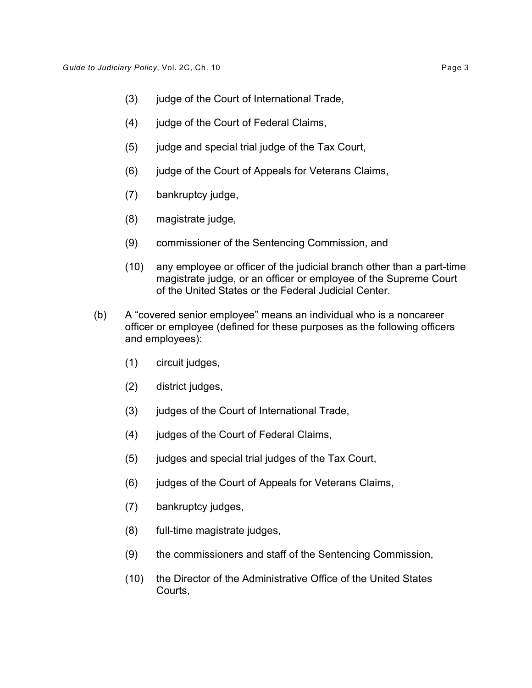- (3) judge of the Court of International Trade,
- (4) judge of the Court of Federal Claims,
- (5) judge and special trial judge of the Tax Court,
- (6) judge of the Court of Appeals for Veterans Claims,
- (7) bankruptcy judge,
- (8) magistrate judge,
- (9) commissioner of the Sentencing Commission, and
- (10) any employee or officer of the judicial branch other than a part-time magistrate judge, or an officer or employee of the Supreme Court of the United States or the Federal Judicial Center.
- (b) A "covered senior employee" means an individual who is a noncareer officer or employee (defined for these purposes as the following officers and employees):
	- (1) circuit judges,
	- (2) district judges,
	- (3) judges of the Court of International Trade,
	- (4) judges of the Court of Federal Claims,
	- (5) judges and special trial judges of the Tax Court,
	- (6) judges of the Court of Appeals for Veterans Claims,
	- (7) bankruptcy judges,
	- (8) full-time magistrate judges,
	- (9) the commissioners and staff of the Sentencing Commission,
	- (10) the Director of the Administrative Office of the United States Courts,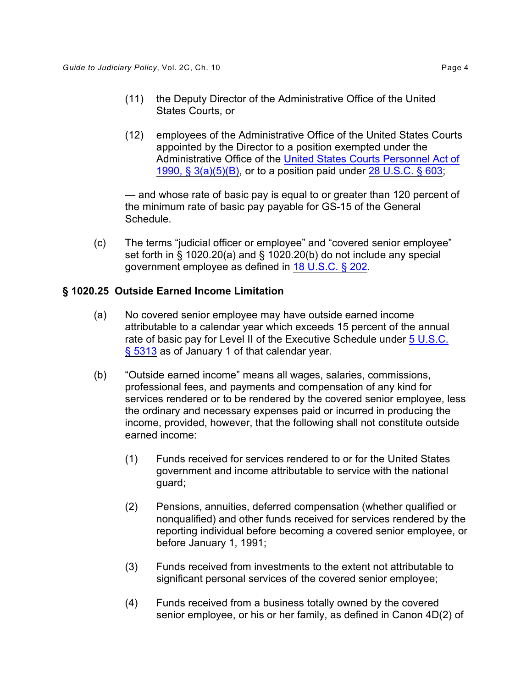- (11) the Deputy Director of the Administrative Office of the United States Courts, or
- (12) employees of the Administrative Office of the United States Courts appointed by the Director to a position exempted under the Administrative Office of the [United States Courts Personnel Act of](http://thomas.loc.gov/cgi-bin/query/D?c101:5:./temp/~c10106f76k::) [1990, § 3\(a\)\(5\)\(B\)](http://thomas.loc.gov/cgi-bin/query/D?c101:5:./temp/~c10106f76k::), or to a position paid under [28 U.S.C. § 603](http://www.law.cornell.edu/uscode/28/603.html);

— and whose rate of basic pay is equal to or greater than 120 percent of the minimum rate of basic pay payable for GS-15 of the General Schedule.

(c) The terms "judicial officer or employee" and "covered senior employee" set forth in § 1020.20(a) and § 1020.20(b) do not include any special government employee as defined in [18 U.S.C. § 202](http://www.law.cornell.edu/uscode/18/202.html).

### **§ 1020.25 Outside Earned Income Limitation**

- (a) No covered senior employee may have outside earned income attributable to a calendar year which exceeds 15 percent of the annual rate of basic pay for Level II of the Executive Schedule under [5 U.S.C.](http://www.law.cornell.edu/uscode/5/5313.html) [§ 5313](http://www.law.cornell.edu/uscode/5/5313.html) as of January 1 of that calendar year.
- (b) "Outside earned income" means all wages, salaries, commissions, professional fees, and payments and compensation of any kind for services rendered or to be rendered by the covered senior employee, less the ordinary and necessary expenses paid or incurred in producing the income, provided, however, that the following shall not constitute outside earned income:
	- (1) Funds received for services rendered to or for the United States government and income attributable to service with the national guard;
	- (2) Pensions, annuities, deferred compensation (whether qualified or nonqualified) and other funds received for services rendered by the reporting individual before becoming a covered senior employee, or before January 1, 1991;
	- (3) Funds received from investments to the extent not attributable to significant personal services of the covered senior employee;
	- (4) Funds received from a business totally owned by the covered senior employee, or his or her family, as defined in Canon 4D(2) of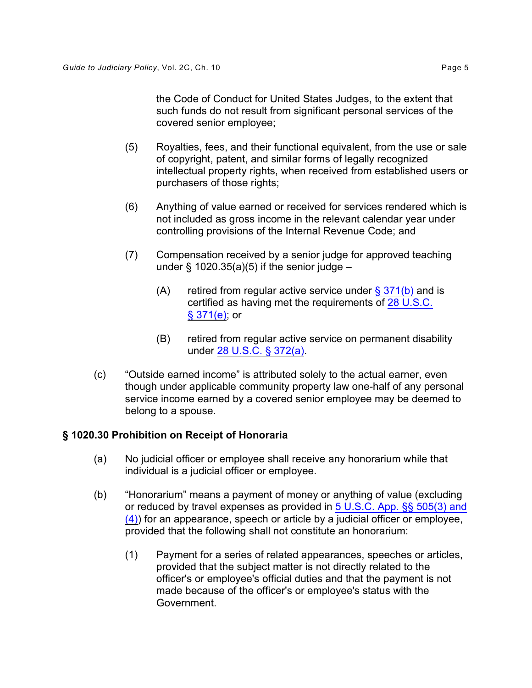the Code of Conduct for United States Judges, to the extent that such funds do not result from significant personal services of the covered senior employee;

- (5) Royalties, fees, and their functional equivalent, from the use or sale of copyright, patent, and similar forms of legally recognized intellectual property rights, when received from established users or purchasers of those rights;
- (6) Anything of value earned or received for services rendered which is not included as gross income in the relevant calendar year under controlling provisions of the Internal Revenue Code; and
- (7) Compensation received by a senior judge for approved teaching under  $\S$  1020.35(a)(5) if the senior judge –
	- (A) retired from regular active service under  $\S 371(b)$  and is certified as having met the requirements of [28 U.S.C.](http://www.law.cornell.edu/uscode/28/371.html#e) [§ 371\(e\)](http://www.law.cornell.edu/uscode/28/371.html#e); or
	- (B) retired from regular active service on permanent disability under [28 U.S.C. § 372\(a\)](http://www.law.cornell.edu/uscode/28/372.html).
- (c) "Outside earned income" is attributed solely to the actual earner, even though under applicable community property law one-half of any personal service income earned by a covered senior employee may be deemed to belong to a spouse.

# **§ 1020.30 Prohibition on Receipt of Honoraria**

- (a) No judicial officer or employee shall receive any honorarium while that individual is a judicial officer or employee.
- (b) "Honorarium" means a payment of money or anything of value (excluding or reduced by travel expenses as provided in [5 U.S.C. App. §§ 505\(3\) and](http://www.law.cornell.edu/uscode/html/uscode05a/usc_sec_05a_00000505----000-.html#3)  $(4)$ ) for an appearance, speech or article by a judicial officer or employee, provided that the following shall not constitute an honorarium:
	- (1) Payment for a series of related appearances, speeches or articles, provided that the subject matter is not directly related to the officer's or employee's official duties and that the payment is not made because of the officer's or employee's status with the Government.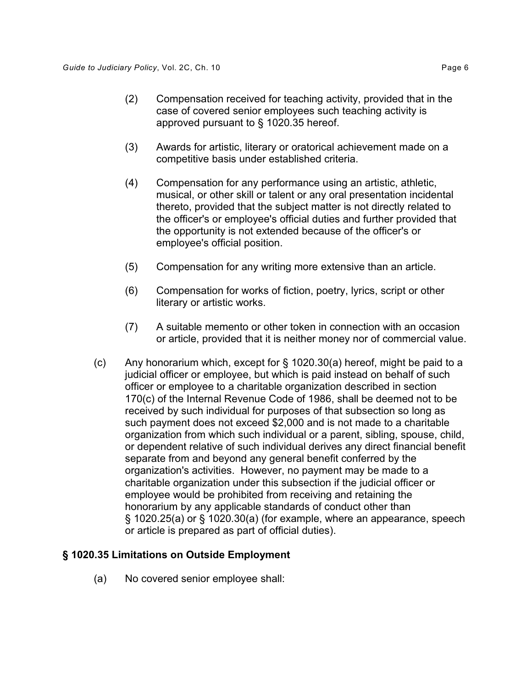- (2) Compensation received for teaching activity, provided that in the case of covered senior employees such teaching activity is approved pursuant to § 1020.35 hereof.
- (3) Awards for artistic, literary or oratorical achievement made on a competitive basis under established criteria.
- (4) Compensation for any performance using an artistic, athletic, musical, or other skill or talent or any oral presentation incidental thereto, provided that the subject matter is not directly related to the officer's or employee's official duties and further provided that the opportunity is not extended because of the officer's or employee's official position.
- (5) Compensation for any writing more extensive than an article.
- (6) Compensation for works of fiction, poetry, lyrics, script or other literary or artistic works.
- (7) A suitable memento or other token in connection with an occasion or article, provided that it is neither money nor of commercial value.
- (c) Any honorarium which, except for  $\S$  1020.30(a) hereof, might be paid to a judicial officer or employee, but which is paid instead on behalf of such officer or employee to a charitable organization described in section 170(c) of the Internal Revenue Code of 1986, shall be deemed not to be received by such individual for purposes of that subsection so long as such payment does not exceed \$2,000 and is not made to a charitable organization from which such individual or a parent, sibling, spouse, child, or dependent relative of such individual derives any direct financial benefit separate from and beyond any general benefit conferred by the organization's activities. However, no payment may be made to a charitable organization under this subsection if the judicial officer or employee would be prohibited from receiving and retaining the honorarium by any applicable standards of conduct other than § 1020.25(a) or § 1020.30(a) (for example, where an appearance, speech or article is prepared as part of official duties).

### **§ 1020.35 Limitations on Outside Employment**

(a) No covered senior employee shall: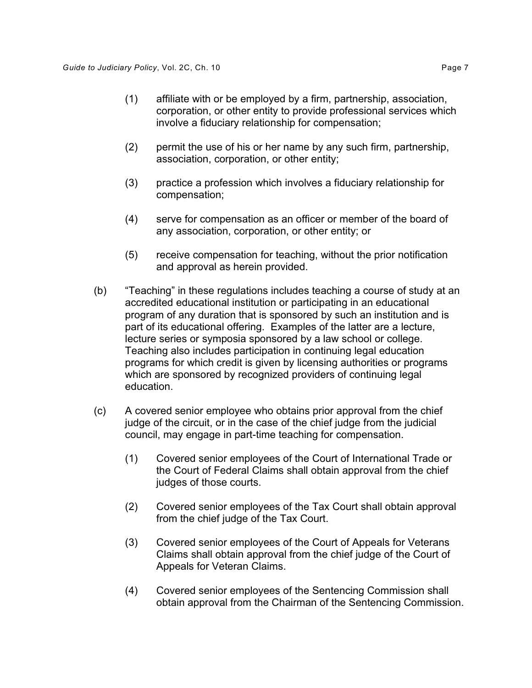- (1) affiliate with or be employed by a firm, partnership, association, corporation, or other entity to provide professional services which involve a fiduciary relationship for compensation;
- (2) permit the use of his or her name by any such firm, partnership, association, corporation, or other entity;
- (3) practice a profession which involves a fiduciary relationship for compensation;
- (4) serve for compensation as an officer or member of the board of any association, corporation, or other entity; or
- (5) receive compensation for teaching, without the prior notification and approval as herein provided.
- (b) "Teaching" in these regulations includes teaching a course of study at an accredited educational institution or participating in an educational program of any duration that is sponsored by such an institution and is part of its educational offering. Examples of the latter are a lecture, lecture series or symposia sponsored by a law school or college. Teaching also includes participation in continuing legal education programs for which credit is given by licensing authorities or programs which are sponsored by recognized providers of continuing legal education.
- (c) A covered senior employee who obtains prior approval from the chief judge of the circuit, or in the case of the chief judge from the judicial council, may engage in part-time teaching for compensation.
	- (1) Covered senior employees of the Court of International Trade or the Court of Federal Claims shall obtain approval from the chief judges of those courts.
	- (2) Covered senior employees of the Tax Court shall obtain approval from the chief judge of the Tax Court.
	- (3) Covered senior employees of the Court of Appeals for Veterans Claims shall obtain approval from the chief judge of the Court of Appeals for Veteran Claims.
	- obtain approval from the Chairman of the Sentencing Commission. (4) Covered senior employees of the Sentencing Commission shall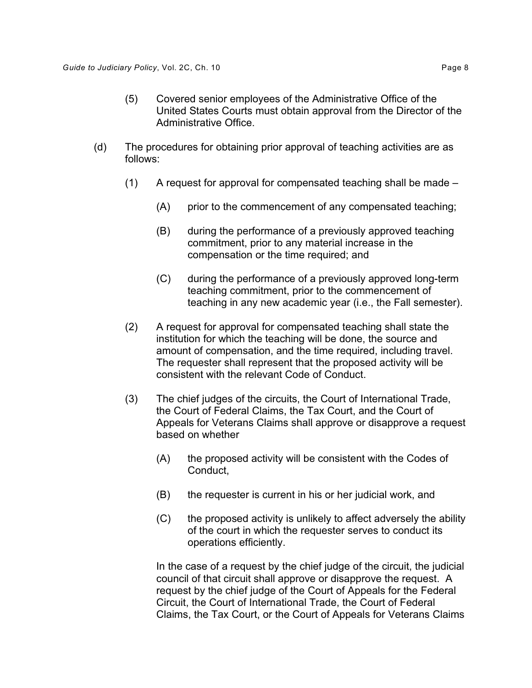- (5) Covered senior employees of the Administrative Office of the United States Courts must obtain approval from the Director of the Administrative Office.
- (d) The procedures for obtaining prior approval of teaching activities are as follows:
	- (1) A request for approval for compensated teaching shall be made
		- (A) prior to the commencement of any compensated teaching;
		- (B) during the performance of a previously approved teaching commitment, prior to any material increase in the compensation or the time required; and
		- (C) during the performance of a previously approved long-term teaching commitment, prior to the commencement of teaching in any new academic year (i.e., the Fall semester).
	- (2) A request for approval for compensated teaching shall state the institution for which the teaching will be done, the source and amount of compensation, and the time required, including travel. The requester shall represent that the proposed activity will be consistent with the relevant Code of Conduct.
	- (3) The chief judges of the circuits, the Court of International Trade, the Court of Federal Claims, the Tax Court, and the Court of Appeals for Veterans Claims shall approve or disapprove a request based on whether
		- (A) the proposed activity will be consistent with the Codes of Conduct,
		- (B) the requester is current in his or her judicial work, and
		- (C) the proposed activity is unlikely to affect adversely the ability of the court in which the requester serves to conduct its operations efficiently.

In the case of a request by the chief judge of the circuit, the judicial council of that circuit shall approve or disapprove the request. A request by the chief judge of the Court of Appeals for the Federal Circuit, the Court of International Trade, the Court of Federal Claims, the Tax Court, or the Court of Appeals for Veterans Claims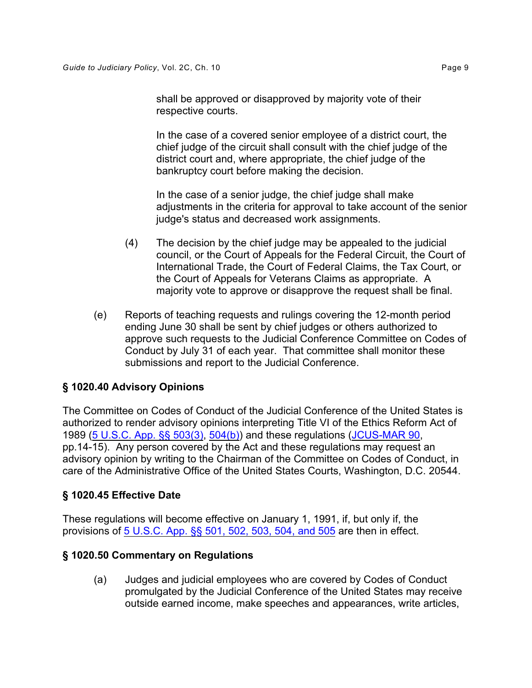shall be approved or disapproved by majority vote of their respective courts.

In the case of a covered senior employee of a district court, the chief judge of the circuit shall consult with the chief judge of the district court and, where appropriate, the chief judge of the bankruptcy court before making the decision.

In the case of a senior judge, the chief judge shall make adjustments in the criteria for approval to take account of the senior judge's status and decreased work assignments.

- (4) The decision by the chief judge may be appealed to the judicial council, or the Court of Appeals for the Federal Circuit, the Court of International Trade, the Court of Federal Claims, the Tax Court, or the Court of Appeals for Veterans Claims as appropriate. A majority vote to approve or disapprove the request shall be final.
- (e) Reports of teaching requests and rulings covering the 12-month period ending June 30 shall be sent by chief judges or others authorized to approve such requests to the Judicial Conference Committee on Codes of Conduct by July 31 of each year. That committee shall monitor these submissions and report to the Judicial Conference.

# **§ 1020.40 Advisory Opinions**

The Committee on Codes of Conduct of the Judicial Conference of the United States is authorized to render advisory opinions interpreting Title VI of the Ethics Reform Act of 1989 [\(5 U.S.C. App. §§ 503\(3\)](http://www.law.cornell.edu/uscode/html/uscode05a/usc_sec_05a_00000503----000-.html#3) , [504\(b\)](http://www.law.cornell.edu/uscode/html/uscode05a/usc_sec_05a_00000504----000-.html#b)) and these regulations [\(JCUS-MAR 90](http://www.uscourts.gov/FederalCourts/JudicialConference/Proceedings/Proceedings.aspx?doc=/uscourts/FederalCourts/judconf/proceedings/1990-03.pdf), pp.14-15). Any person covered by the Act and these regulations may request an advisory opinion by writing to the Chairman of the Committee on Codes of Conduct, in care of the Administrative Office of the United States Courts, Washington, D.C. 20544.

# **§ 1020.45 Effective Date**

These regulations will become effective on January 1, 1991, if, but only if, the provisions of [5 U.S.C. App. §§ 501, 502, 503, 504, and 505](http://www.law.cornell.edu/uscode/html/uscode05a/usc_sup_05_5_10_sq3_20_V.html) are then in effect.

### **§ 1020.50 Commentary on Regulations**

(a) Judges and judicial employees who are covered by Codes of Conduct promulgated by the Judicial Conference of the United States may receive outside earned income, make speeches and appearances, write articles,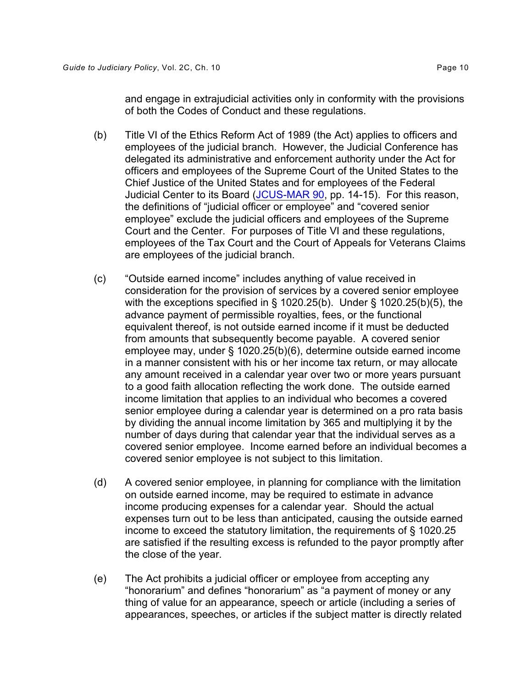and engage in extrajudicial activities only in conformity with the provisions of both the Codes of Conduct and these regulations.

- (b) Title VI of the Ethics Reform Act of 1989 (the Act) applies to officers and employees of the judicial branch. However, the Judicial Conference has delegated its administrative and enforcement authority under the Act for officers and employees of the Supreme Court of the United States to the Chief Justice of the United States and for employees of the Federal Judicial Center to its Board [\(JCUS-MAR 90](http://www.uscourts.gov/FederalCourts/JudicialConference/Proceedings/Proceedings.aspx?doc=/uscourts/FederalCourts/judconf/proceedings/1990-03.pdf), pp. 14-15). For this reason, the definitions of "judicial officer or employee" and "covered senior employee" exclude the judicial officers and employees of the Supreme Court and the Center. For purposes of Title VI and these regulations, employees of the Tax Court and the Court of Appeals for Veterans Claims are employees of the judicial branch.
- (c) "Outside earned income" includes anything of value received in consideration for the provision of services by a covered senior employee with the exceptions specified in § 1020.25(b). Under § 1020.25(b)(5), the advance payment of permissible royalties, fees, or the functional equivalent thereof, is not outside earned income if it must be deducted from amounts that subsequently become payable. A covered senior employee may, under § 1020.25(b)(6), determine outside earned income in a manner consistent with his or her income tax return, or may allocate any amount received in a calendar year over two or more years pursuant to a good faith allocation reflecting the work done. The outside earned income limitation that applies to an individual who becomes a covered senior employee during a calendar year is determined on a pro rata basis by dividing the annual income limitation by 365 and multiplying it by the number of days during that calendar year that the individual serves as a covered senior employee. Income earned before an individual becomes a covered senior employee is not subject to this limitation.
- (d) A covered senior employee, in planning for compliance with the limitation on outside earned income, may be required to estimate in advance income producing expenses for a calendar year. Should the actual expenses turn out to be less than anticipated, causing the outside earned income to exceed the statutory limitation, the requirements of § 1020.25 are satisfied if the resulting excess is refunded to the payor promptly after the close of the year.
- (e) The Act prohibits a judicial officer or employee from accepting any "honorarium" and defines "honorarium" as "a payment of money or any thing of value for an appearance, speech or article (including a series of appearances, speeches, or articles if the subject matter is directly related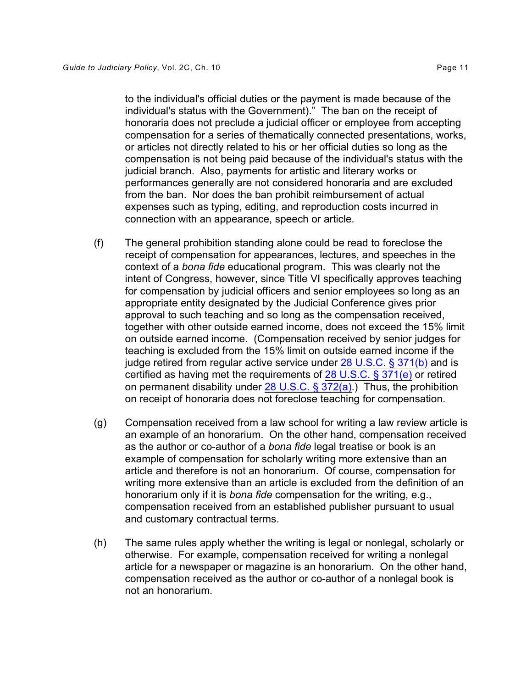to the individual's official duties or the payment is made because of the individual's status with the Government)." The ban on the receipt of honoraria does not preclude a judicial officer or employee from accepting compensation for a series of thematically connected presentations, works, or articles not directly related to his or her official duties so long as the compensation is not being paid because of the individual's status with the judicial branch. Also, payments for artistic and literary works or performances generally are not considered honoraria and are excluded from the ban. Nor does the ban prohibit reimbursement of actual expenses such as typing, editing, and reproduction costs incurred in connection with an appearance, speech or article.

- (f) The general prohibition standing alone could be read to foreclose the receipt of compensation for appearances, lectures, and speeches in the context of a *bona fide* educational program. This was clearly not the intent of Congress, however, since Title VI specifically approves teaching for compensation by judicial officers and senior employees so long as an appropriate entity designated by the Judicial Conference gives prior approval to such teaching and so long as the compensation received, together with other outside earned income, does not exceed the 15% limit on outside earned income. (Compensation received by senior judges for teaching is excluded from the 15% limit on outside earned income if the judge retired from regular active service under  $28 \text{ U.S.C.}$  § 371(b) and is certified as having met the requirements of [28 U.S.C. § 371\(e\)](http://www.law.cornell.edu/uscode/28/371.html#e) or retired on permanent disability under  $28$  U.S.C. § 372(a).) Thus, the prohibition on receipt of honoraria does not foreclose teaching for compensation.
- (g) Compensation received from a law school for writing a law review article is an example of an honorarium. On the other hand, compensation received as the author or co-author of a *bona fide* legal treatise or book is an example of compensation for scholarly writing more extensive than an article and therefore is not an honorarium. Of course, compensation for writing more extensive than an article is excluded from the definition of an honorarium only if it is *bona fide* compensation for the writing, e.g., compensation received from an established publisher pursuant to usual and customary contractual terms.
- (h) The same rules apply whether the writing is legal or nonlegal, scholarly or otherwise. For example, compensation received for writing a nonlegal article for a newspaper or magazine is an honorarium. On the other hand, compensation received as the author or co-author of a nonlegal book is not an honorarium.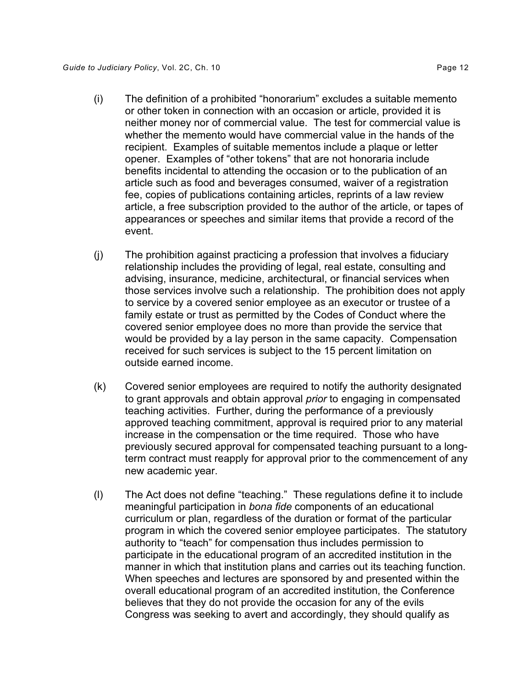- (i) The definition of a prohibited "honorarium" excludes a suitable memento or other token in connection with an occasion or article, provided it is neither money nor of commercial value. The test for commercial value is whether the memento would have commercial value in the hands of the recipient. Examples of suitable mementos include a plaque or letter opener. Examples of "other tokens" that are not honoraria include benefits incidental to attending the occasion or to the publication of an article such as food and beverages consumed, waiver of a registration fee, copies of publications containing articles, reprints of a law review article, a free subscription provided to the author of the article, or tapes of appearances or speeches and similar items that provide a record of the event.
- (j) The prohibition against practicing a profession that involves a fiduciary relationship includes the providing of legal, real estate, consulting and advising, insurance, medicine, architectural, or financial services when those services involve such a relationship. The prohibition does not apply to service by a covered senior employee as an executor or trustee of a family estate or trust as permitted by the Codes of Conduct where the covered senior employee does no more than provide the service that would be provided by a lay person in the same capacity. Compensation received for such services is subject to the 15 percent limitation on outside earned income.
- (k) Covered senior employees are required to notify the authority designated to grant approvals and obtain approval *prior* to engaging in compensated teaching activities. Further, during the performance of a previously approved teaching commitment, approval is required prior to any material increase in the compensation or the time required. Those who have previously secured approval for compensated teaching pursuant to a longterm contract must reapply for approval prior to the commencement of any new academic year.
- (l) The Act does not define "teaching." These regulations define it to include meaningful participation in *bona fide* components of an educational curriculum or plan, regardless of the duration or format of the particular program in which the covered senior employee participates. The statutory authority to "teach" for compensation thus includes permission to participate in the educational program of an accredited institution in the manner in which that institution plans and carries out its teaching function. When speeches and lectures are sponsored by and presented within the overall educational program of an accredited institution, the Conference believes that they do not provide the occasion for any of the evils Congress was seeking to avert and accordingly, they should qualify as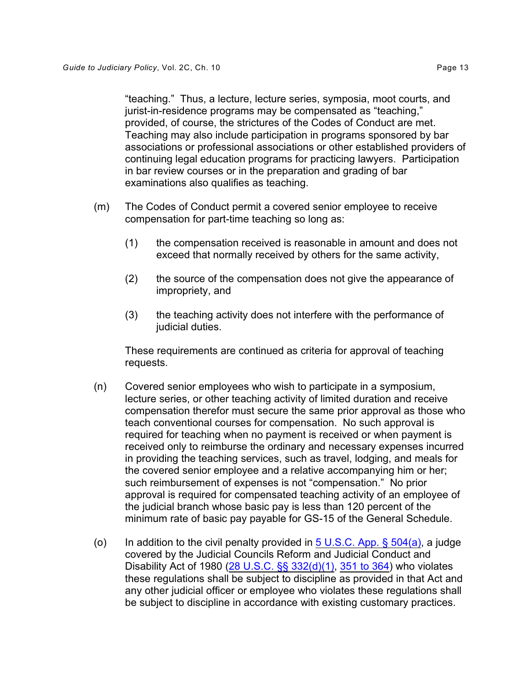provided, of course, the strictures of the Codes of Conduct are met. Teaching may also include participation in programs sponsored by bar associations or professional associations or other established providers of continuing legal education programs for practicing lawyers. Participation in bar review courses or in the preparation and grading of bar examinations also qualifies as teaching.

- (m) The Codes of Conduct permit a covered senior employee to receive compensation for part-time teaching so long as:
	- (1) the compensation received is reasonable in amount and does not exceed that normally received by others for the same activity,
	- (2) the source of the compensation does not give the appearance of impropriety, and
	- (3) the teaching activity does not interfere with the performance of judicial duties.

These requirements are continued as criteria for approval of teaching requests.

- (n) Covered senior employees who wish to participate in a symposium, lecture series, or other teaching activity of limited duration and receive compensation therefor must secure the same prior approval as those who teach conventional courses for compensation. No such approval is required for teaching when no payment is received or when payment is received only to reimburse the ordinary and necessary expenses incurred in providing the teaching services, such as travel, lodging, and meals for the covered senior employee and a relative accompanying him or her; such reimbursement of expenses is not "compensation." No prior approval is required for compensated teaching activity of an employee of the judicial branch whose basic pay is less than 120 percent of the minimum rate of basic pay payable for GS-15 of the General Schedule.
- (o) In addition to the civil penalty provided in  $5 \text{ U.S.C.}$  App. §  $504(a)$ , a judge covered by the Judicial Councils Reform and Judicial Conduct and Disability Act of 1980 (28 U.S.C.  $\S$ § 332(d)(1), [351 to 364](http://www.law.cornell.edu/uscode/28/usc_sup_01_28_10_I_20_16.html)) who violates these regulations shall be subject to discipline as provided in that Act and any other judicial officer or employee who violates these regulations shall be subject to discipline in accordance with existing customary practices.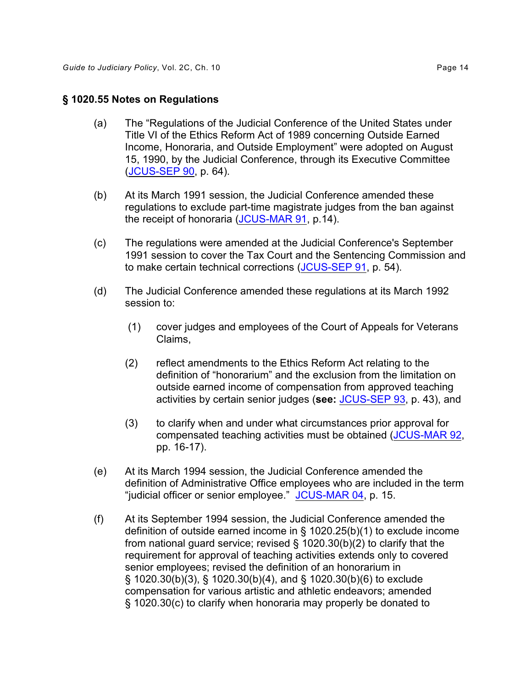### **§ 1020.55 Notes on Regulations**

- (a) The "Regulations of the Judicial Conference of the United States under Title VI of the Ethics Reform Act of 1989 concerning Outside Earned Income, Honoraria, and Outside Employment" were adopted on August 15, 1990, by the Judicial Conference, through its Executive Committee ([JCUS-SEP 90](http://www.uscourts.gov/FederalCourts/JudicialConference/Proceedings/Proceedings.aspx?doc=/uscourts/FederalCourts/judconf/proceedings/1990-09.pdf), p. 64).
- (b) At its March 1991 session, the Judicial Conference amended these regulations to exclude part-time magistrate judges from the ban against the receipt of honoraria [\(JCUS-MAR 91](http://www.uscourts.gov/FederalCourts/JudicialConference/Proceedings/Proceedings.aspx?doc=/uscourts/FederalCourts/judconf/proceedings/1991-03.pdf), p.14).
- (c) The regulations were amended at the Judicial Conference's September 1991 session to cover the Tax Court and the Sentencing Commission and to make certain technical corrections [\(JCUS-SEP 91](http://www.uscourts.gov/FederalCourts/JudicialConference/Proceedings/Proceedings.aspx?doc=/uscourts/FederalCourts/judconf/proceedings/1991-09.pdf), p. 54).
- (d) The Judicial Conference amended these regulations at its March 1992 session to:
	- (1) cover judges and employees of the Court of Appeals for Veterans Claims,
	- (2) reflect amendments to the Ethics Reform Act relating to the definition of "honorarium" and the exclusion from the limitation on outside earned income of compensation from approved teaching activities by certain senior judges (**see:** [JCUS-SEP 93](http://www.uscourts.gov/FederalCourts/JudicialConference/Proceedings/Proceedings.aspx?doc=/uscourts/FederalCourts/judconf/proceedings/1993-09.pdf), p. 43), and
	- (3) to clarify when and under what circumstances prior approval for compensated teaching activities must be obtained (<u>JCUS-MAR 92,</u> pp. 16-17).
- "judicial officer or senior employee." JCUS-MAR 04, p. 15. (e) At its March 1994 session, the Judicial Conference amended the definition of Administrative Office employees who are included in the term
- $(f)$  At its September 1994 session, the Judicial Conference amended the definition of outside earned income in § 1020.25(b)(1) to exclude income from national guard service; revised § 1020.30(b)(2) to clarify that the requirement for approval of teaching activities extends only to covered senior employees; revised the definition of an honorarium in § 1020.30(b)(3), § 1020.30(b)(4), and § 1020.30(b)(6) to exclude compensation for various artistic and athletic endeavors; amended § 1020.30(c) to clarify when honoraria may properly be donated to